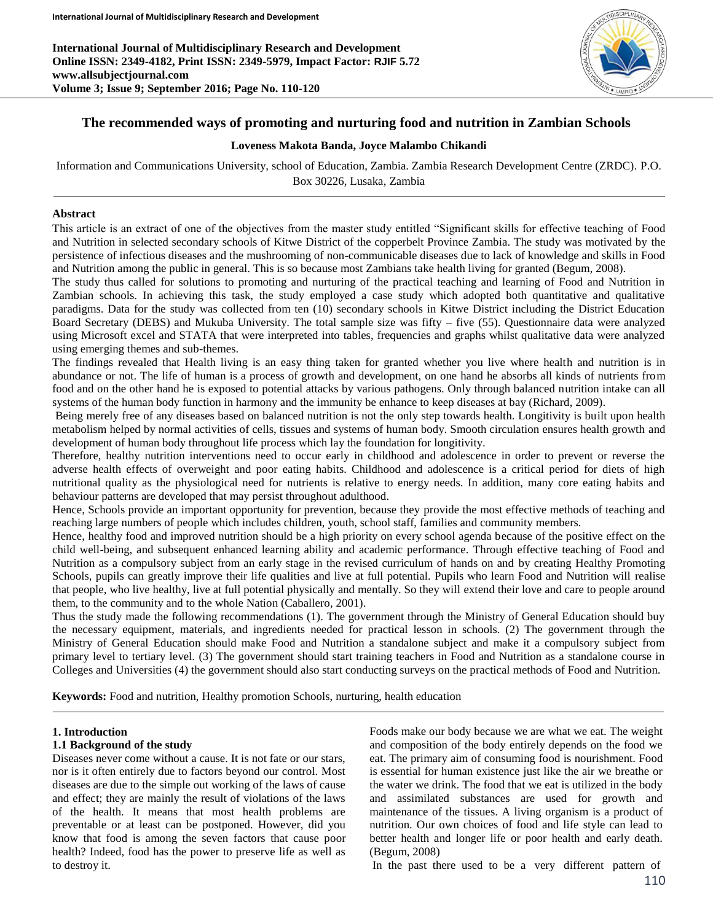**International Journal of Multidisciplinary Research and Development Online ISSN: 2349-4182, Print ISSN: 2349-5979, Impact Factor: RJIF 5.72 www.allsubjectjournal.com Volume 3; Issue 9; September 2016; Page No. 110-120**



# **The recommended ways of promoting and nurturing food and nutrition in Zambian Schools**

#### **Loveness Makota Banda, Joyce Malambo Chikandi**

Information and Communications University, school of Education, Zambia. Zambia Research Development Centre (ZRDC). P.O. Box 30226, Lusaka, Zambia

#### **Abstract**

This article is an extract of one of the objectives from the master study entitled "Significant skills for effective teaching of Food and Nutrition in selected secondary schools of Kitwe District of the copperbelt Province Zambia. The study was motivated by the persistence of infectious diseases and the mushrooming of non-communicable diseases due to lack of knowledge and skills in Food and Nutrition among the public in general. This is so because most Zambians take health living for granted (Begum, 2008).

The study thus called for solutions to promoting and nurturing of the practical teaching and learning of Food and Nutrition in Zambian schools. In achieving this task, the study employed a case study which adopted both quantitative and qualitative paradigms. Data for the study was collected from ten (10) secondary schools in Kitwe District including the District Education Board Secretary (DEBS) and Mukuba University. The total sample size was fifty – five (55). Questionnaire data were analyzed using Microsoft excel and STATA that were interpreted into tables, frequencies and graphs whilst qualitative data were analyzed using emerging themes and sub-themes.

The findings revealed that Health living is an easy thing taken for granted whether you live where health and nutrition is in abundance or not. The life of human is a process of growth and development, on one hand he absorbs all kinds of nutrients from food and on the other hand he is exposed to potential attacks by various pathogens. Only through balanced nutrition intake can all systems of the human body function in harmony and the immunity be enhance to keep diseases at bay (Richard, 2009).

Being merely free of any diseases based on balanced nutrition is not the only step towards health. Longitivity is built upon health metabolism helped by normal activities of cells, tissues and systems of human body. Smooth circulation ensures health growth and development of human body throughout life process which lay the foundation for longitivity.

Therefore, healthy nutrition interventions need to occur early in childhood and adolescence in order to prevent or reverse the adverse health effects of overweight and poor eating habits. Childhood and adolescence is a critical period for diets of high nutritional quality as the physiological need for nutrients is relative to energy needs. In addition, many core eating habits and behaviour patterns are developed that may persist throughout adulthood.

Hence, Schools provide an important opportunity for prevention, because they provide the most effective methods of teaching and reaching large numbers of people which includes children, youth, school staff, families and community members.

Hence, healthy food and improved nutrition should be a high priority on every school agenda because of the positive effect on the child well-being, and subsequent enhanced learning ability and academic performance. Through effective teaching of Food and Nutrition as a compulsory subject from an early stage in the revised curriculum of hands on and by creating Healthy Promoting Schools, pupils can greatly improve their life qualities and live at full potential. Pupils who learn Food and Nutrition will realise that people, who live healthy, live at full potential physically and mentally. So they will extend their love and care to people around them, to the community and to the whole Nation (Caballero, 2001).

Thus the study made the following recommendations (1). The government through the Ministry of General Education should buy the necessary equipment, materials, and ingredients needed for practical lesson in schools. (2) The government through the Ministry of General Education should make Food and Nutrition a standalone subject and make it a compulsory subject from primary level to tertiary level. (3) The government should start training teachers in Food and Nutrition as a standalone course in Colleges and Universities (4) the government should also start conducting surveys on the practical methods of Food and Nutrition.

**Keywords:** Food and nutrition, Healthy promotion Schools, nurturing, health education

#### **1. Introduction**

#### **1.1 Background of the study**

Diseases never come without a cause. It is not fate or our stars, nor is it often entirely due to factors beyond our control. Most diseases are due to the simple out working of the laws of cause and effect; they are mainly the result of violations of the laws of the health. It means that most health problems are preventable or at least can be postponed. However, did you know that food is among the seven factors that cause poor health? Indeed, food has the power to preserve life as well as to destroy it.

Foods make our body because we are what we eat. The weight and composition of the body entirely depends on the food we eat. The primary aim of consuming food is nourishment. Food is essential for human existence just like the air we breathe or the water we drink. The food that we eat is utilized in the body and assimilated substances are used for growth and maintenance of the tissues. A living organism is a product of nutrition. Our own choices of food and life style can lead to better health and longer life or poor health and early death. (Begum, 2008)

In the past there used to be a very different pattern of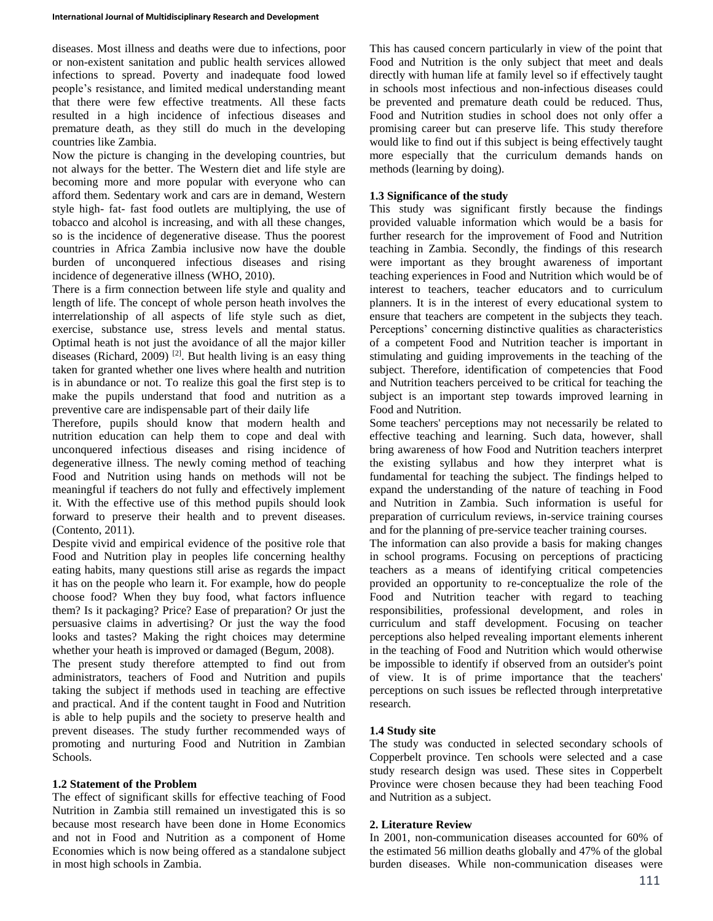diseases. Most illness and deaths were due to infections, poor or non-existent sanitation and public health services allowed infections to spread. Poverty and inadequate food lowed people's resistance, and limited medical understanding meant that there were few effective treatments. All these facts resulted in a high incidence of infectious diseases and premature death, as they still do much in the developing countries like Zambia.

Now the picture is changing in the developing countries, but not always for the better. The Western diet and life style are becoming more and more popular with everyone who can afford them. Sedentary work and cars are in demand, Western style high- fat- fast food outlets are multiplying, the use of tobacco and alcohol is increasing, and with all these changes, so is the incidence of degenerative disease. Thus the poorest countries in Africa Zambia inclusive now have the double burden of unconquered infectious diseases and rising incidence of degenerative illness (WHO, 2010).

There is a firm connection between life style and quality and length of life. The concept of whole person heath involves the interrelationship of all aspects of life style such as diet, exercise, substance use, stress levels and mental status. Optimal heath is not just the avoidance of all the major killer diseases (Richard, 2009)<sup>[2]</sup>. But health living is an easy thing taken for granted whether one lives where health and nutrition is in abundance or not. To realize this goal the first step is to make the pupils understand that food and nutrition as a preventive care are indispensable part of their daily life

Therefore, pupils should know that modern health and nutrition education can help them to cope and deal with unconquered infectious diseases and rising incidence of degenerative illness. The newly coming method of teaching Food and Nutrition using hands on methods will not be meaningful if teachers do not fully and effectively implement it. With the effective use of this method pupils should look forward to preserve their health and to prevent diseases. (Contento, 2011).

Despite vivid and empirical evidence of the positive role that Food and Nutrition play in peoples life concerning healthy eating habits, many questions still arise as regards the impact it has on the people who learn it. For example, how do people choose food? When they buy food, what factors influence them? Is it packaging? Price? Ease of preparation? Or just the persuasive claims in advertising? Or just the way the food looks and tastes? Making the right choices may determine whether your heath is improved or damaged (Begum, 2008).

The present study therefore attempted to find out from administrators, teachers of Food and Nutrition and pupils taking the subject if methods used in teaching are effective and practical. And if the content taught in Food and Nutrition is able to help pupils and the society to preserve health and prevent diseases. The study further recommended ways of promoting and nurturing Food and Nutrition in Zambian Schools.

# **1.2 Statement of the Problem**

The effect of significant skills for effective teaching of Food Nutrition in Zambia still remained un investigated this is so because most research have been done in Home Economics and not in Food and Nutrition as a component of Home Economies which is now being offered as a standalone subject in most high schools in Zambia.

This has caused concern particularly in view of the point that Food and Nutrition is the only subject that meet and deals directly with human life at family level so if effectively taught in schools most infectious and non-infectious diseases could be prevented and premature death could be reduced. Thus, Food and Nutrition studies in school does not only offer a promising career but can preserve life. This study therefore would like to find out if this subject is being effectively taught more especially that the curriculum demands hands on methods (learning by doing).

### **1.3 Significance of the study**

This study was significant firstly because the findings provided valuable information which would be a basis for further research for the improvement of Food and Nutrition teaching in Zambia. Secondly, the findings of this research were important as they brought awareness of important teaching experiences in Food and Nutrition which would be of interest to teachers, teacher educators and to curriculum planners. It is in the interest of every educational system to ensure that teachers are competent in the subjects they teach. Perceptions' concerning distinctive qualities as characteristics of a competent Food and Nutrition teacher is important in stimulating and guiding improvements in the teaching of the subject. Therefore, identification of competencies that Food and Nutrition teachers perceived to be critical for teaching the subject is an important step towards improved learning in Food and Nutrition.

Some teachers' perceptions may not necessarily be related to effective teaching and learning. Such data, however, shall bring awareness of how Food and Nutrition teachers interpret the existing syllabus and how they interpret what is fundamental for teaching the subject. The findings helped to expand the understanding of the nature of teaching in Food and Nutrition in Zambia. Such information is useful for preparation of curriculum reviews, in-service training courses and for the planning of pre-service teacher training courses.

The information can also provide a basis for making changes in school programs. Focusing on perceptions of practicing teachers as a means of identifying critical competencies provided an opportunity to re-conceptualize the role of the Food and Nutrition teacher with regard to teaching responsibilities, professional development, and roles in curriculum and staff development. Focusing on teacher perceptions also helped revealing important elements inherent in the teaching of Food and Nutrition which would otherwise be impossible to identify if observed from an outsider's point of view. It is of prime importance that the teachers' perceptions on such issues be reflected through interpretative research.

# **1.4 Study site**

The study was conducted in selected secondary schools of Copperbelt province. Ten schools were selected and a case study research design was used. These sites in Copperbelt Province were chosen because they had been teaching Food and Nutrition as a subject.

### **2. Literature Review**

In 2001, non-communication diseases accounted for 60% of the estimated 56 million deaths globally and 47% of the global burden diseases. While non-communication diseases were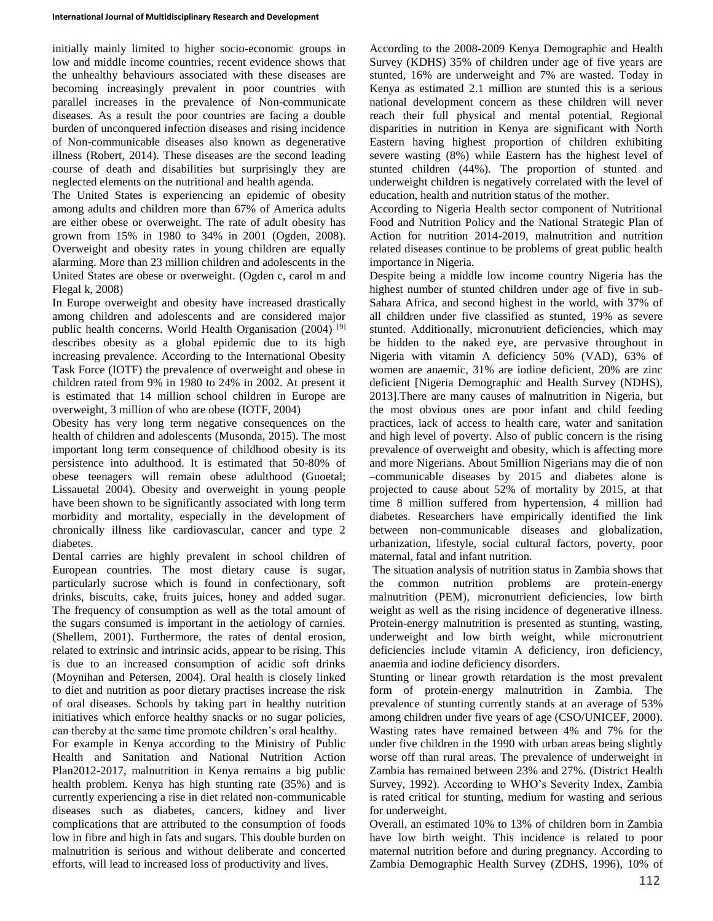initially mainly limited to higher socio-economic groups in low and middle income countries, recent evidence shows that the unhealthy behaviours associated with these diseases are becoming increasingly prevalent in poor countries with parallel increases in the prevalence of Non-communicate diseases. As a result the poor countries are facing a double burden of unconquered infection diseases and rising incidence of Non-communicable diseases also known as degenerative illness (Robert, 2014). These diseases are the second leading course of death and disabilities but surprisingly they are neglected elements on the nutritional and health agenda.

The United States is experiencing an epidemic of obesity among adults and children more than 67% of America adults are either obese or overweight. The rate of adult obesity has grown from 15% in 1980 to 34% in 2001 (Ogden, 2008). Overweight and obesity rates in young children are equally alarming. More than 23 million children and adolescents in the United States are obese or overweight. (Ogden c, carol m and Flegal k, 2008)

In Europe overweight and obesity have increased drastically among children and adolescents and are considered major public health concerns. World Health Organisation (2004)<sup>[9]</sup> describes obesity as a global epidemic due to its high increasing prevalence. According to the International Obesity Task Force (IOTF) the prevalence of overweight and obese in children rated from 9% in 1980 to 24% in 2002. At present it is estimated that 14 million school children in Europe are overweight, 3 million of who are obese (IOTF, 2004)

Obesity has very long term negative consequences on the health of children and adolescents (Musonda, 2015). The most important long term consequence of childhood obesity is its persistence into adulthood. It is estimated that 50-80% of obese teenagers will remain obese adulthood (Guoetal; Lissauetal 2004). Obesity and overweight in young people have been shown to be significantly associated with long term morbidity and mortality, especially in the development of chronically illness like cardiovascular, cancer and type 2 diabetes.

Dental carries are highly prevalent in school children of European countries. The most dietary cause is sugar, particularly sucrose which is found in confectionary, soft drinks, biscuits, cake, fruits juices, honey and added sugar. The frequency of consumption as well as the total amount of the sugars consumed is important in the aetiology of carnies. (Shellem, 2001). Furthermore, the rates of dental erosion, related to extrinsic and intrinsic acids, appear to be rising. This is due to an increased consumption of acidic soft drinks (Moynihan and Petersen, 2004). Oral health is closely linked to diet and nutrition as poor dietary practises increase the risk of oral diseases. Schools by taking part in healthy nutrition initiatives which enforce healthy snacks or no sugar policies, can thereby at the same time promote children's oral healthy.

For example in Kenya according to the Ministry of Public Health and Sanitation and National Nutrition Action Plan2012-2017, malnutrition in Kenya remains a big public health problem. Kenya has high stunting rate (35%) and is currently experiencing a rise in diet related non-communicable diseases such as diabetes, cancers, kidney and liver complications that are attributed to the consumption of foods low in fibre and high in fats and sugars. This double burden on malnutrition is serious and without deliberate and concerted efforts, will lead to increased loss of productivity and lives.

According to the 2008-2009 Kenya Demographic and Health Survey (KDHS) 35% of children under age of five years are stunted, 16% are underweight and 7% are wasted. Today in Kenya as estimated 2.1 million are stunted this is a serious national development concern as these children will never reach their full physical and mental potential. Regional disparities in nutrition in Kenya are significant with North Eastern having highest proportion of children exhibiting severe wasting (8%) while Eastern has the highest level of stunted children (44%). The proportion of stunted and underweight children is negatively correlated with the level of education, health and nutrition status of the mother.

According to Nigeria Health sector component of Nutritional Food and Nutrition Policy and the National Strategic Plan of Action for nutrition 2014-2019, malnutrition and nutrition related diseases continue to be problems of great public health importance in Nigeria.

Despite being a middle low income country Nigeria has the highest number of stunted children under age of five in sub-Sahara Africa, and second highest in the world, with 37% of all children under five classified as stunted, 19% as severe stunted. Additionally, micronutrient deficiencies, which may be hidden to the naked eye, are pervasive throughout in Nigeria with vitamin A deficiency 50% (VAD), 63% of women are anaemic, 31% are iodine deficient, 20% are zinc deficient [Nigeria Demographic and Health Survey (NDHS), 2013].There are many causes of malnutrition in Nigeria, but the most obvious ones are poor infant and child feeding practices, lack of access to health care, water and sanitation and high level of poverty. Also of public concern is the rising prevalence of overweight and obesity, which is affecting more and more Nigerians. About 5million Nigerians may die of non –communicable diseases by 2015 and diabetes alone is projected to cause about 52% of mortality by 2015, at that time 8 million suffered from hypertension, 4 million had diabetes. Researchers have empirically identified the link between non-communicable diseases and globalization, urbanization, lifestyle, social cultural factors, poverty, poor maternal, fatal and infant nutrition.

The situation analysis of nutrition status in Zambia shows that the common nutrition problems are protein-energy malnutrition (PEM), micronutrient deficiencies, low birth weight as well as the rising incidence of degenerative illness. Protein-energy malnutrition is presented as stunting, wasting, underweight and low birth weight, while micronutrient deficiencies include vitamin A deficiency, iron deficiency, anaemia and iodine deficiency disorders.

Stunting or linear growth retardation is the most prevalent form of protein-energy malnutrition in Zambia. The prevalence of stunting currently stands at an average of 53% among children under five years of age (CSO/UNICEF, 2000). Wasting rates have remained between 4% and 7% for the under five children in the 1990 with urban areas being slightly worse off than rural areas. The prevalence of underweight in Zambia has remained between 23% and 27%. (District Health Survey, 1992). According to WHO's Severity Index, Zambia is rated critical for stunting, medium for wasting and serious for underweight.

Overall, an estimated 10% to 13% of children born in Zambia have low birth weight. This incidence is related to poor maternal nutrition before and during pregnancy. According to Zambia Demographic Health Survey (ZDHS, 1996), 10% of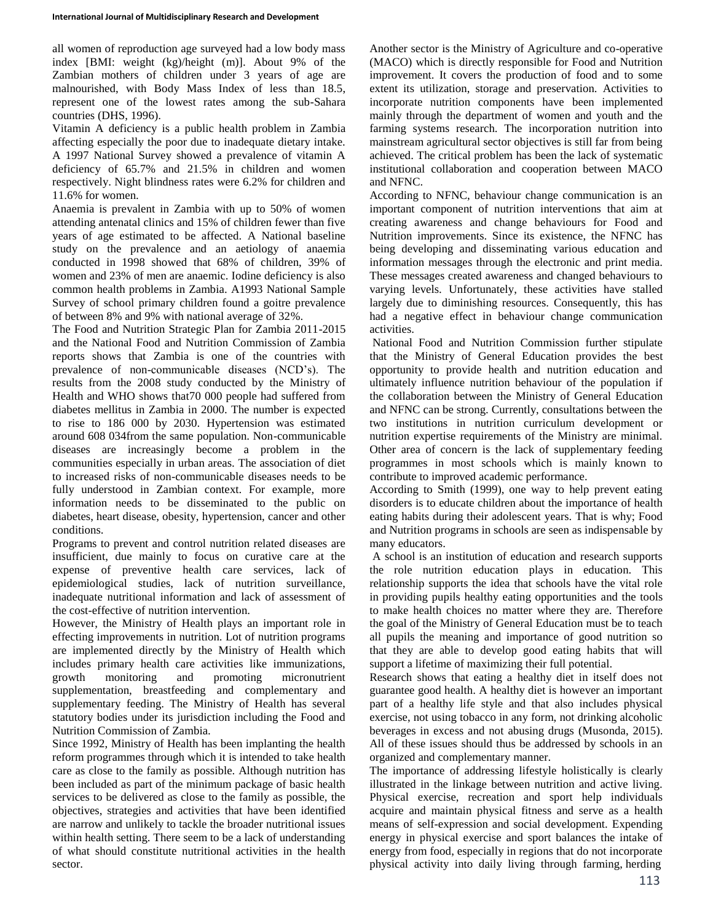all women of reproduction age surveyed had a low body mass index [BMI: weight (kg)/height (m)]. About 9% of the Zambian mothers of children under 3 years of age are malnourished, with Body Mass Index of less than 18.5, represent one of the lowest rates among the sub-Sahara countries (DHS, 1996).

Vitamin A deficiency is a public health problem in Zambia affecting especially the poor due to inadequate dietary intake. A 1997 National Survey showed a prevalence of vitamin A deficiency of 65.7% and 21.5% in children and women respectively. Night blindness rates were 6.2% for children and 11.6% for women.

Anaemia is prevalent in Zambia with up to 50% of women attending antenatal clinics and 15% of children fewer than five years of age estimated to be affected. A National baseline study on the prevalence and an aetiology of anaemia conducted in 1998 showed that 68% of children, 39% of women and 23% of men are anaemic. Iodine deficiency is also common health problems in Zambia. A1993 National Sample Survey of school primary children found a goitre prevalence of between 8% and 9% with national average of 32%.

The Food and Nutrition Strategic Plan for Zambia 2011-2015 and the National Food and Nutrition Commission of Zambia reports shows that Zambia is one of the countries with prevalence of non-communicable diseases (NCD's). The results from the 2008 study conducted by the Ministry of Health and WHO shows that70 000 people had suffered from diabetes mellitus in Zambia in 2000. The number is expected to rise to 186 000 by 2030. Hypertension was estimated around 608 034from the same population. Non-communicable diseases are increasingly become a problem in the communities especially in urban areas. The association of diet to increased risks of non-communicable diseases needs to be fully understood in Zambian context. For example, more information needs to be disseminated to the public on diabetes, heart disease, obesity, hypertension, cancer and other conditions.

Programs to prevent and control nutrition related diseases are insufficient, due mainly to focus on curative care at the expense of preventive health care services, lack of epidemiological studies, lack of nutrition surveillance, inadequate nutritional information and lack of assessment of the cost-effective of nutrition intervention.

However, the Ministry of Health plays an important role in effecting improvements in nutrition. Lot of nutrition programs are implemented directly by the Ministry of Health which includes primary health care activities like immunizations, growth monitoring and promoting micronutrient supplementation, breastfeeding and complementary and supplementary feeding. The Ministry of Health has several statutory bodies under its jurisdiction including the Food and Nutrition Commission of Zambia.

Since 1992, Ministry of Health has been implanting the health reform programmes through which it is intended to take health care as close to the family as possible. Although nutrition has been included as part of the minimum package of basic health services to be delivered as close to the family as possible, the objectives, strategies and activities that have been identified are narrow and unlikely to tackle the broader nutritional issues within health setting. There seem to be a lack of understanding of what should constitute nutritional activities in the health sector.

Another sector is the Ministry of Agriculture and co-operative (MACO) which is directly responsible for Food and Nutrition improvement. It covers the production of food and to some extent its utilization, storage and preservation. Activities to incorporate nutrition components have been implemented mainly through the department of women and youth and the farming systems research. The incorporation nutrition into mainstream agricultural sector objectives is still far from being achieved. The critical problem has been the lack of systematic institutional collaboration and cooperation between MACO and NFNC.

According to NFNC, behaviour change communication is an important component of nutrition interventions that aim at creating awareness and change behaviours for Food and Nutrition improvements. Since its existence, the NFNC has being developing and disseminating various education and information messages through the electronic and print media. These messages created awareness and changed behaviours to varying levels. Unfortunately, these activities have stalled largely due to diminishing resources. Consequently, this has had a negative effect in behaviour change communication activities.

National Food and Nutrition Commission further stipulate that the Ministry of General Education provides the best opportunity to provide health and nutrition education and ultimately influence nutrition behaviour of the population if the collaboration between the Ministry of General Education and NFNC can be strong. Currently, consultations between the two institutions in nutrition curriculum development or nutrition expertise requirements of the Ministry are minimal. Other area of concern is the lack of supplementary feeding programmes in most schools which is mainly known to contribute to improved academic performance.

According to Smith (1999), one way to help prevent eating disorders is to educate children about the importance of health eating habits during their adolescent years. That is why; Food and Nutrition programs in schools are seen as indispensable by many educators.

A school is an institution of education and research supports the role nutrition education plays in education. This relationship supports the idea that schools have the vital role in providing pupils healthy eating opportunities and the tools to make health choices no matter where they are. Therefore the goal of the Ministry of General Education must be to teach all pupils the meaning and importance of good nutrition so that they are able to develop good eating habits that will support a lifetime of maximizing their full potential.

Research shows that eating a healthy diet in itself does not guarantee good health. A healthy diet is however an important part of a healthy life style and that also includes physical exercise, not using tobacco in any form, not drinking alcoholic beverages in excess and not abusing drugs (Musonda, 2015). All of these issues should thus be addressed by schools in an organized and complementary manner.

The importance of addressing lifestyle holistically is clearly illustrated in the linkage between nutrition and active living. Physical exercise, recreation and sport help individuals acquire and maintain physical fitness and serve as a health means of self-expression and social development. Expending energy in physical exercise and sport balances the intake of energy from food, especially in regions that do not incorporate physical activity into daily living through farming, herding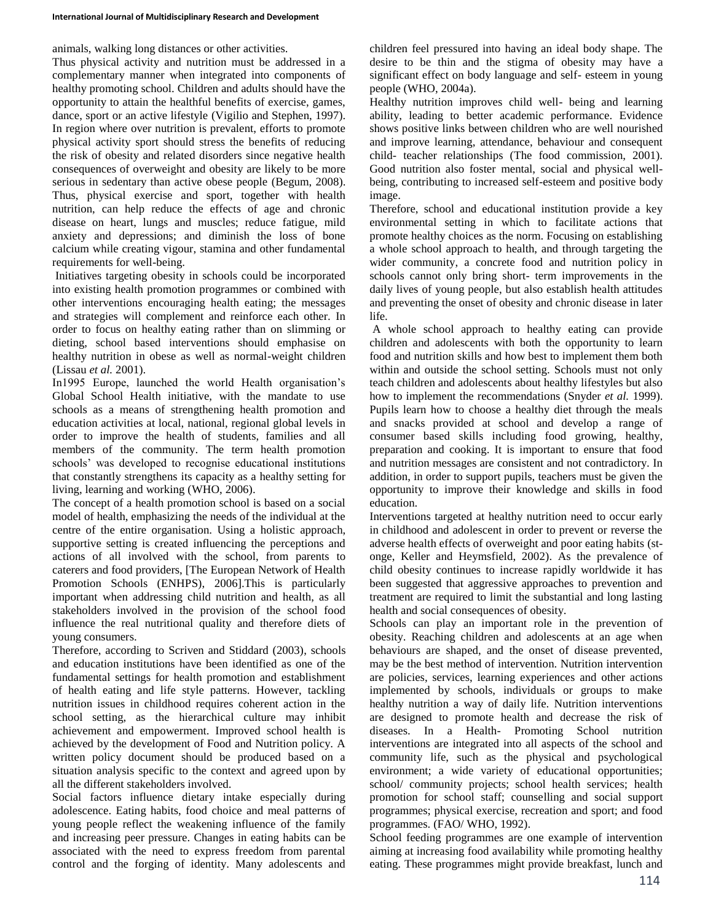animals, walking long distances or other activities.

Thus physical activity and nutrition must be addressed in a complementary manner when integrated into components of healthy promoting school. Children and adults should have the opportunity to attain the healthful benefits of exercise, games, dance, sport or an active lifestyle (Vigilio and Stephen, 1997). In region where over nutrition is prevalent, efforts to promote physical activity sport should stress the benefits of reducing the risk of obesity and related disorders since negative health consequences of overweight and obesity are likely to be more serious in sedentary than active obese people (Begum, 2008). Thus, physical exercise and sport, together with health nutrition, can help reduce the effects of age and chronic disease on heart, lungs and muscles; reduce fatigue, mild anxiety and depressions; and diminish the loss of bone calcium while creating vigour, stamina and other fundamental requirements for well-being.

Initiatives targeting obesity in schools could be incorporated into existing health promotion programmes or combined with other interventions encouraging health eating; the messages and strategies will complement and reinforce each other. In order to focus on healthy eating rather than on slimming or dieting, school based interventions should emphasise on healthy nutrition in obese as well as normal-weight children (Lissau *et al.* 2001).

In1995 Europe, launched the world Health organisation's Global School Health initiative, with the mandate to use schools as a means of strengthening health promotion and education activities at local, national, regional global levels in order to improve the health of students, families and all members of the community. The term health promotion schools' was developed to recognise educational institutions that constantly strengthens its capacity as a healthy setting for living, learning and working (WHO, 2006).

The concept of a health promotion school is based on a social model of health, emphasizing the needs of the individual at the centre of the entire organisation. Using a holistic approach, supportive setting is created influencing the perceptions and actions of all involved with the school, from parents to caterers and food providers, [The European Network of Health Promotion Schools (ENHPS), 2006].This is particularly important when addressing child nutrition and health, as all stakeholders involved in the provision of the school food influence the real nutritional quality and therefore diets of young consumers.

Therefore, according to Scriven and Stiddard (2003), schools and education institutions have been identified as one of the fundamental settings for health promotion and establishment of health eating and life style patterns. However, tackling nutrition issues in childhood requires coherent action in the school setting, as the hierarchical culture may inhibit achievement and empowerment. Improved school health is achieved by the development of Food and Nutrition policy. A written policy document should be produced based on a situation analysis specific to the context and agreed upon by all the different stakeholders involved.

Social factors influence dietary intake especially during adolescence. Eating habits, food choice and meal patterns of young people reflect the weakening influence of the family and increasing peer pressure. Changes in eating habits can be associated with the need to express freedom from parental control and the forging of identity. Many adolescents and

children feel pressured into having an ideal body shape. The desire to be thin and the stigma of obesity may have a significant effect on body language and self- esteem in young people (WHO, 2004a).

Healthy nutrition improves child well- being and learning ability, leading to better academic performance. Evidence shows positive links between children who are well nourished and improve learning, attendance, behaviour and consequent child- teacher relationships (The food commission, 2001). Good nutrition also foster mental, social and physical wellbeing, contributing to increased self-esteem and positive body image.

Therefore, school and educational institution provide a key environmental setting in which to facilitate actions that promote healthy choices as the norm. Focusing on establishing a whole school approach to health, and through targeting the wider community, a concrete food and nutrition policy in schools cannot only bring short- term improvements in the daily lives of young people, but also establish health attitudes and preventing the onset of obesity and chronic disease in later life.

A whole school approach to healthy eating can provide children and adolescents with both the opportunity to learn food and nutrition skills and how best to implement them both within and outside the school setting. Schools must not only teach children and adolescents about healthy lifestyles but also how to implement the recommendations (Snyder *et al.* 1999). Pupils learn how to choose a healthy diet through the meals and snacks provided at school and develop a range of consumer based skills including food growing, healthy, preparation and cooking. It is important to ensure that food and nutrition messages are consistent and not contradictory. In addition, in order to support pupils, teachers must be given the opportunity to improve their knowledge and skills in food education.

Interventions targeted at healthy nutrition need to occur early in childhood and adolescent in order to prevent or reverse the adverse health effects of overweight and poor eating habits (stonge, Keller and Heymsfield, 2002). As the prevalence of child obesity continues to increase rapidly worldwide it has been suggested that aggressive approaches to prevention and treatment are required to limit the substantial and long lasting health and social consequences of obesity.

Schools can play an important role in the prevention of obesity. Reaching children and adolescents at an age when behaviours are shaped, and the onset of disease prevented, may be the best method of intervention. Nutrition intervention are policies, services, learning experiences and other actions implemented by schools, individuals or groups to make healthy nutrition a way of daily life. Nutrition interventions are designed to promote health and decrease the risk of diseases. In a Health- Promoting School nutrition interventions are integrated into all aspects of the school and community life, such as the physical and psychological environment; a wide variety of educational opportunities; school/ community projects; school health services; health promotion for school staff; counselling and social support programmes; physical exercise, recreation and sport; and food programmes. (FAO/ WHO, 1992).

School feeding programmes are one example of intervention aiming at increasing food availability while promoting healthy eating. These programmes might provide breakfast, lunch and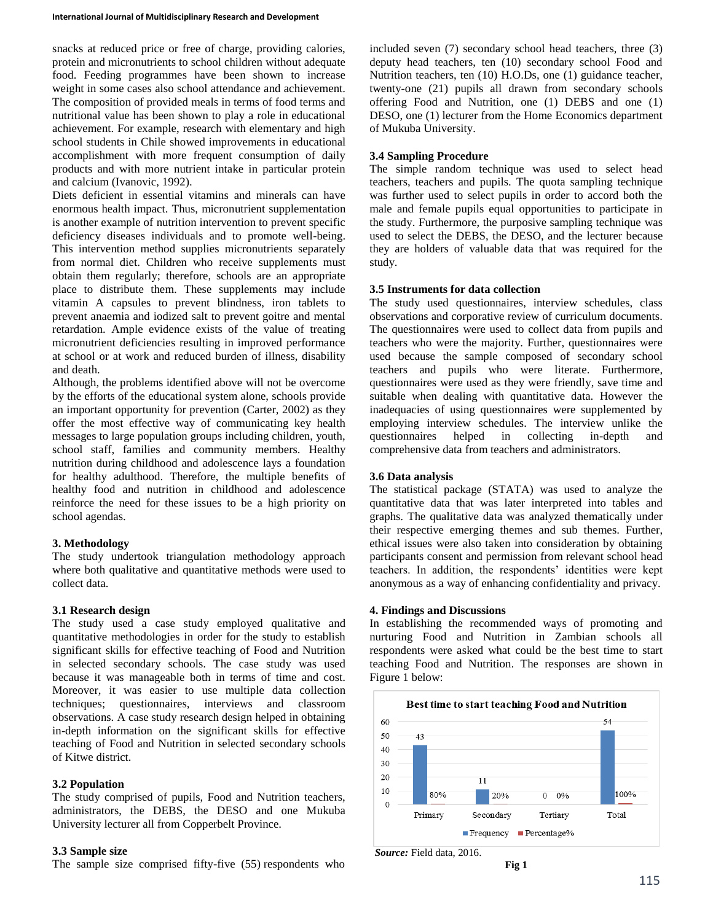snacks at reduced price or free of charge, providing calories, protein and micronutrients to school children without adequate food. Feeding programmes have been shown to increase weight in some cases also school attendance and achievement. The composition of provided meals in terms of food terms and nutritional value has been shown to play a role in educational achievement. For example, research with elementary and high school students in Chile showed improvements in educational accomplishment with more frequent consumption of daily products and with more nutrient intake in particular protein and calcium (Ivanovic, 1992).

Diets deficient in essential vitamins and minerals can have enormous health impact. Thus, micronutrient supplementation is another example of nutrition intervention to prevent specific deficiency diseases individuals and to promote well-being. This intervention method supplies micronutrients separately from normal diet. Children who receive supplements must obtain them regularly; therefore, schools are an appropriate place to distribute them. These supplements may include vitamin A capsules to prevent blindness, iron tablets to prevent anaemia and iodized salt to prevent goitre and mental retardation. Ample evidence exists of the value of treating micronutrient deficiencies resulting in improved performance at school or at work and reduced burden of illness, disability and death.

Although, the problems identified above will not be overcome by the efforts of the educational system alone, schools provide an important opportunity for prevention (Carter, 2002) as they offer the most effective way of communicating key health messages to large population groups including children, youth, school staff, families and community members. Healthy nutrition during childhood and adolescence lays a foundation for healthy adulthood. Therefore, the multiple benefits of healthy food and nutrition in childhood and adolescence reinforce the need for these issues to be a high priority on school agendas.

# **3. Methodology**

The study undertook triangulation methodology approach where both qualitative and quantitative methods were used to collect data.

# **3.1 Research design**

The study used a case study employed qualitative and quantitative methodologies in order for the study to establish significant skills for effective teaching of Food and Nutrition in selected secondary schools. The case study was used because it was manageable both in terms of time and cost. Moreover, it was easier to use multiple data collection techniques; questionnaires, interviews and classroom observations. A case study research design helped in obtaining in-depth information on the significant skills for effective teaching of Food and Nutrition in selected secondary schools of Kitwe district.

# **3.2 Population**

The study comprised of pupils, Food and Nutrition teachers, administrators, the DEBS, the DESO and one Mukuba University lecturer all from Copperbelt Province.

### **3.3 Sample size**

The sample size comprised fifty-five (55) respondents who

included seven (7) secondary school head teachers, three (3) deputy head teachers, ten (10) secondary school Food and Nutrition teachers, ten (10) H.O.Ds, one (1) guidance teacher, twenty-one (21) pupils all drawn from secondary schools offering Food and Nutrition, one (1) DEBS and one (1) DESO, one (1) lecturer from the Home Economics department of Mukuba University.

### **3.4 Sampling Procedure**

The simple random technique was used to select head teachers, teachers and pupils. The quota sampling technique was further used to select pupils in order to accord both the male and female pupils equal opportunities to participate in the study. Furthermore, the purposive sampling technique was used to select the DEBS, the DESO, and the lecturer because they are holders of valuable data that was required for the study.

# **3.5 Instruments for data collection**

The study used questionnaires, interview schedules, class observations and corporative review of curriculum documents. The questionnaires were used to collect data from pupils and teachers who were the majority. Further, questionnaires were used because the sample composed of secondary school teachers and pupils who were literate. Furthermore, questionnaires were used as they were friendly, save time and suitable when dealing with quantitative data. However the inadequacies of using questionnaires were supplemented by employing interview schedules. The interview unlike the questionnaires helped in collecting in-depth and comprehensive data from teachers and administrators.

# **3.6 Data analysis**

The statistical package (STATA) was used to analyze the quantitative data that was later interpreted into tables and graphs. The qualitative data was analyzed thematically under their respective emerging themes and sub themes. Further, ethical issues were also taken into consideration by obtaining participants consent and permission from relevant school head teachers. In addition, the respondents' identities were kept anonymous as a way of enhancing confidentiality and privacy.

### **4. Findings and Discussions**

In establishing the recommended ways of promoting and nurturing Food and Nutrition in Zambian schools all respondents were asked what could be the best time to start teaching Food and Nutrition. The responses are shown in Figure 1 below:



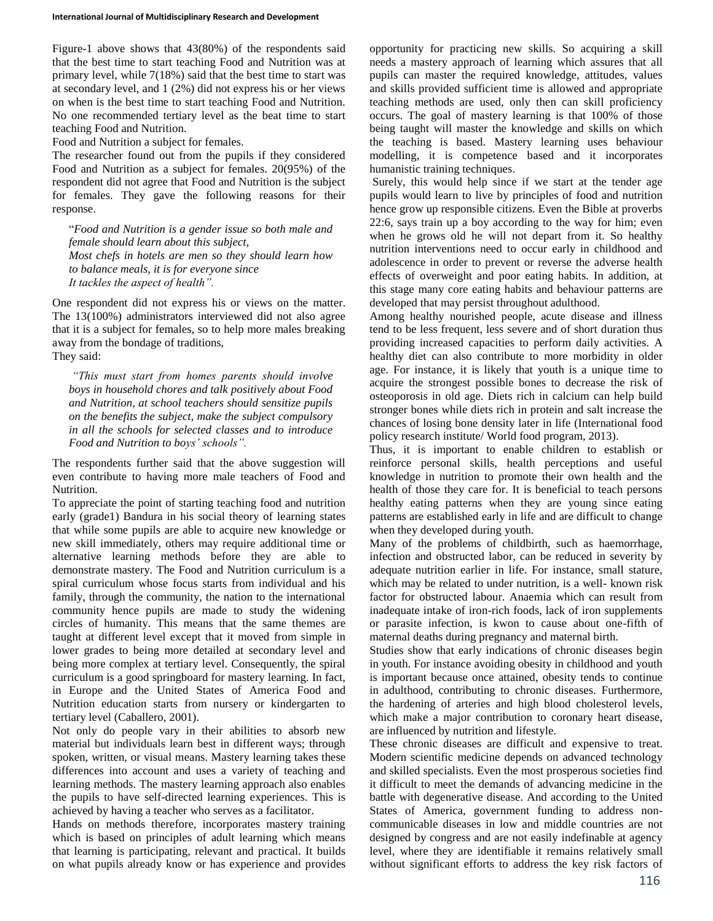Figure-1 above shows that 43(80%) of the respondents said that the best time to start teaching Food and Nutrition was at primary level, while 7(18%) said that the best time to start was at secondary level, and 1 (2%) did not express his or her views on when is the best time to start teaching Food and Nutrition. No one recommended tertiary level as the beat time to start teaching Food and Nutrition.

Food and Nutrition a subject for females.

The researcher found out from the pupils if they considered Food and Nutrition as a subject for females. 20(95%) of the respondent did not agree that Food and Nutrition is the subject for females. They gave the following reasons for their response.

"*Food and Nutrition is a gender issue so both male and female should learn about this subject, Most chefs in hotels are men so they should learn how to balance meals, it is for everyone since It tackles the aspect of health".*

One respondent did not express his or views on the matter. The 13(100%) administrators interviewed did not also agree that it is a subject for females, so to help more males breaking away from the bondage of traditions, They said:

*"This must start from homes parents should involve boys in household chores and talk positively about Food and Nutrition, at school teachers should sensitize pupils on the benefits the subject, make the subject compulsory in all the schools for selected classes and to introduce Food and Nutrition to boys' schools".*

The respondents further said that the above suggestion will even contribute to having more male teachers of Food and Nutrition.

To appreciate the point of starting teaching food and nutrition early (grade1) Bandura in his social theory of learning states that while some pupils are able to acquire new knowledge or new skill immediately, others may require additional time or alternative learning methods before they are able to demonstrate mastery. The Food and Nutrition curriculum is a spiral curriculum whose focus starts from individual and his family, through the community, the nation to the international community hence pupils are made to study the widening circles of humanity. This means that the same themes are taught at different level except that it moved from simple in lower grades to being more detailed at secondary level and being more complex at tertiary level. Consequently, the spiral curriculum is a good springboard for mastery learning. In fact, in Europe and the United States of America Food and Nutrition education starts from nursery or kindergarten to tertiary level (Caballero, 2001).

Not only do people vary in their abilities to absorb new material but individuals learn best in different ways; through spoken, written, or visual means. Mastery learning takes these differences into account and uses a variety of teaching and learning methods. The mastery learning approach also enables the pupils to have self-directed learning experiences. This is achieved by having a teacher who serves as a facilitator.

Hands on methods therefore, incorporates mastery training which is based on principles of adult learning which means that learning is participating, relevant and practical. It builds on what pupils already know or has experience and provides opportunity for practicing new skills. So acquiring a skill needs a mastery approach of learning which assures that all pupils can master the required knowledge, attitudes, values and skills provided sufficient time is allowed and appropriate teaching methods are used, only then can skill proficiency occurs. The goal of mastery learning is that 100% of those being taught will master the knowledge and skills on which the teaching is based. Mastery learning uses behaviour modelling, it is competence based and it incorporates humanistic training techniques.

Surely, this would help since if we start at the tender age pupils would learn to live by principles of food and nutrition hence grow up responsible citizens. Even the Bible at proverbs 22:6, says train up a boy according to the way for him; even when he grows old he will not depart from it. So healthy nutrition interventions need to occur early in childhood and adolescence in order to prevent or reverse the adverse health effects of overweight and poor eating habits. In addition, at this stage many core eating habits and behaviour patterns are developed that may persist throughout adulthood.

Among healthy nourished people, acute disease and illness tend to be less frequent, less severe and of short duration thus providing increased capacities to perform daily activities. A healthy diet can also contribute to more morbidity in older age. For instance, it is likely that youth is a unique time to acquire the strongest possible bones to decrease the risk of osteoporosis in old age. Diets rich in calcium can help build stronger bones while diets rich in protein and salt increase the chances of losing bone density later in life (International food policy research institute/ World food program, 2013).

Thus, it is important to enable children to establish or reinforce personal skills, health perceptions and useful knowledge in nutrition to promote their own health and the health of those they care for. It is beneficial to teach persons healthy eating patterns when they are young since eating patterns are established early in life and are difficult to change when they developed during youth.

Many of the problems of childbirth, such as haemorrhage, infection and obstructed labor, can be reduced in severity by adequate nutrition earlier in life. For instance, small stature, which may be related to under nutrition, is a well- known risk factor for obstructed labour. Anaemia which can result from inadequate intake of iron-rich foods, lack of iron supplements or parasite infection, is kwon to cause about one-fifth of maternal deaths during pregnancy and maternal birth.

Studies show that early indications of chronic diseases begin in youth. For instance avoiding obesity in childhood and youth is important because once attained, obesity tends to continue in adulthood, contributing to chronic diseases. Furthermore, the hardening of arteries and high blood cholesterol levels, which make a major contribution to coronary heart disease, are influenced by nutrition and lifestyle.

These chronic diseases are difficult and expensive to treat. Modern scientific medicine depends on advanced technology and skilled specialists. Even the most prosperous societies find it difficult to meet the demands of advancing medicine in the battle with degenerative disease. And according to the United States of America, government funding to address noncommunicable diseases in low and middle countries are not designed by congress and are not easily indefinable at agency level, where they are identifiable it remains relatively small without significant efforts to address the key risk factors of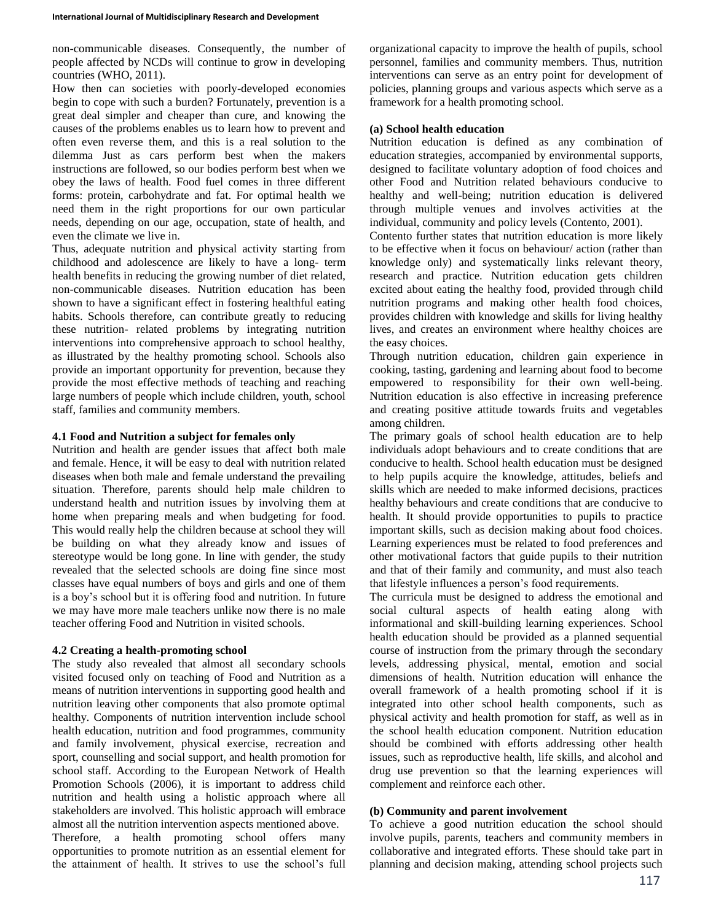non-communicable diseases. Consequently, the number of people affected by NCDs will continue to grow in developing countries (WHO, 2011).

How then can societies with poorly-developed economies begin to cope with such a burden? Fortunately, prevention is a great deal simpler and cheaper than cure, and knowing the causes of the problems enables us to learn how to prevent and often even reverse them, and this is a real solution to the dilemma Just as cars perform best when the makers instructions are followed, so our bodies perform best when we obey the laws of health. Food fuel comes in three different forms: protein, carbohydrate and fat. For optimal health we need them in the right proportions for our own particular needs, depending on our age, occupation, state of health, and even the climate we live in.

Thus, adequate nutrition and physical activity starting from childhood and adolescence are likely to have a long- term health benefits in reducing the growing number of diet related, non-communicable diseases. Nutrition education has been shown to have a significant effect in fostering healthful eating habits. Schools therefore, can contribute greatly to reducing these nutrition- related problems by integrating nutrition interventions into comprehensive approach to school healthy, as illustrated by the healthy promoting school. Schools also provide an important opportunity for prevention, because they provide the most effective methods of teaching and reaching large numbers of people which include children, youth, school staff, families and community members.

### **4.1 Food and Nutrition a subject for females only**

Nutrition and health are gender issues that affect both male and female. Hence, it will be easy to deal with nutrition related diseases when both male and female understand the prevailing situation. Therefore, parents should help male children to understand health and nutrition issues by involving them at home when preparing meals and when budgeting for food. This would really help the children because at school they will be building on what they already know and issues of stereotype would be long gone. In line with gender, the study revealed that the selected schools are doing fine since most classes have equal numbers of boys and girls and one of them is a boy's school but it is offering food and nutrition. In future we may have more male teachers unlike now there is no male teacher offering Food and Nutrition in visited schools.

# **4.2 Creating a health-promoting school**

The study also revealed that almost all secondary schools visited focused only on teaching of Food and Nutrition as a means of nutrition interventions in supporting good health and nutrition leaving other components that also promote optimal healthy. Components of nutrition intervention include school health education, nutrition and food programmes, community and family involvement, physical exercise, recreation and sport, counselling and social support, and health promotion for school staff. According to the European Network of Health Promotion Schools (2006), it is important to address child nutrition and health using a holistic approach where all stakeholders are involved. This holistic approach will embrace almost all the nutrition intervention aspects mentioned above. Therefore, a health promoting school offers many opportunities to promote nutrition as an essential element for the attainment of health. It strives to use the school's full

organizational capacity to improve the health of pupils, school personnel, families and community members. Thus, nutrition interventions can serve as an entry point for development of policies, planning groups and various aspects which serve as a framework for a health promoting school.

### **(a) School health education**

Nutrition education is defined as any combination of education strategies, accompanied by environmental supports, designed to facilitate voluntary adoption of food choices and other Food and Nutrition related behaviours conducive to healthy and well-being; nutrition education is delivered through multiple venues and involves activities at the individual, community and policy levels (Contento, 2001).

Contento further states that nutrition education is more likely to be effective when it focus on behaviour/ action (rather than knowledge only) and systematically links relevant theory, research and practice. Nutrition education gets children excited about eating the healthy food, provided through child nutrition programs and making other health food choices, provides children with knowledge and skills for living healthy lives, and creates an environment where healthy choices are the easy choices.

Through nutrition education, children gain experience in cooking, tasting, gardening and learning about food to become empowered to responsibility for their own well-being. Nutrition education is also effective in increasing preference and creating positive attitude towards fruits and vegetables among children.

The primary goals of school health education are to help individuals adopt behaviours and to create conditions that are conducive to health. School health education must be designed to help pupils acquire the knowledge, attitudes, beliefs and skills which are needed to make informed decisions, practices healthy behaviours and create conditions that are conducive to health. It should provide opportunities to pupils to practice important skills, such as decision making about food choices. Learning experiences must be related to food preferences and other motivational factors that guide pupils to their nutrition and that of their family and community, and must also teach that lifestyle influences a person's food requirements.

The curricula must be designed to address the emotional and social cultural aspects of health eating along with informational and skill-building learning experiences. School health education should be provided as a planned sequential course of instruction from the primary through the secondary levels, addressing physical, mental, emotion and social dimensions of health. Nutrition education will enhance the overall framework of a health promoting school if it is integrated into other school health components, such as physical activity and health promotion for staff, as well as in the school health education component. Nutrition education should be combined with efforts addressing other health issues, such as reproductive health, life skills, and alcohol and drug use prevention so that the learning experiences will complement and reinforce each other.

# **(b) Community and parent involvement**

To achieve a good nutrition education the school should involve pupils, parents, teachers and community members in collaborative and integrated efforts. These should take part in planning and decision making, attending school projects such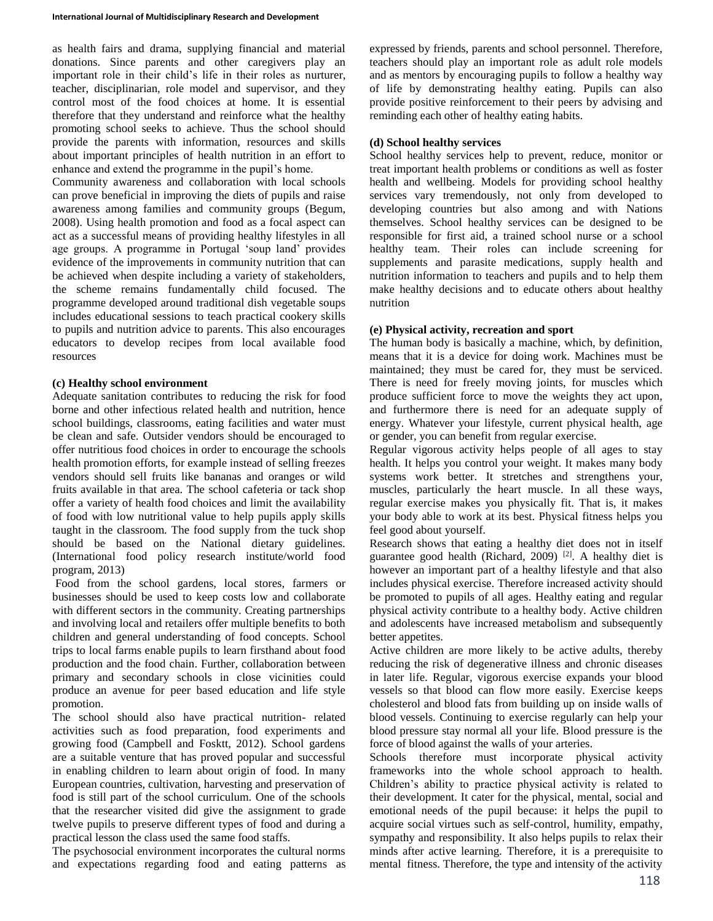as health fairs and drama, supplying financial and material donations. Since parents and other caregivers play an important role in their child's life in their roles as nurturer, teacher, disciplinarian, role model and supervisor, and they control most of the food choices at home. It is essential therefore that they understand and reinforce what the healthy promoting school seeks to achieve. Thus the school should provide the parents with information, resources and skills about important principles of health nutrition in an effort to enhance and extend the programme in the pupil's home.

Community awareness and collaboration with local schools can prove beneficial in improving the diets of pupils and raise awareness among families and community groups (Begum, 2008). Using health promotion and food as a focal aspect can act as a successful means of providing healthy lifestyles in all age groups. A programme in Portugal 'soup land' provides evidence of the improvements in community nutrition that can be achieved when despite including a variety of stakeholders, the scheme remains fundamentally child focused. The programme developed around traditional dish vegetable soups includes educational sessions to teach practical cookery skills to pupils and nutrition advice to parents. This also encourages educators to develop recipes from local available food resources

### **(c) Healthy school environment**

Adequate sanitation contributes to reducing the risk for food borne and other infectious related health and nutrition, hence school buildings, classrooms, eating facilities and water must be clean and safe. Outsider vendors should be encouraged to offer nutritious food choices in order to encourage the schools health promotion efforts, for example instead of selling freezes vendors should sell fruits like bananas and oranges or wild fruits available in that area. The school cafeteria or tack shop offer a variety of health food choices and limit the availability of food with low nutritional value to help pupils apply skills taught in the classroom. The food supply from the tuck shop should be based on the National dietary guidelines. (International food policy research institute/world food program, 2013)

Food from the school gardens, local stores, farmers or businesses should be used to keep costs low and collaborate with different sectors in the community. Creating partnerships and involving local and retailers offer multiple benefits to both children and general understanding of food concepts. School trips to local farms enable pupils to learn firsthand about food production and the food chain. Further, collaboration between primary and secondary schools in close vicinities could produce an avenue for peer based education and life style promotion.

The school should also have practical nutrition- related activities such as food preparation, food experiments and growing food (Campbell and Fosktt, 2012). School gardens are a suitable venture that has proved popular and successful in enabling children to learn about origin of food. In many European countries, cultivation, harvesting and preservation of food is still part of the school curriculum. One of the schools that the researcher visited did give the assignment to grade twelve pupils to preserve different types of food and during a practical lesson the class used the same food staffs.

The psychosocial environment incorporates the cultural norms and expectations regarding food and eating patterns as

expressed by friends, parents and school personnel. Therefore, teachers should play an important role as adult role models and as mentors by encouraging pupils to follow a healthy way of life by demonstrating healthy eating. Pupils can also provide positive reinforcement to their peers by advising and reminding each other of healthy eating habits.

### **(d) School healthy services**

School healthy services help to prevent, reduce, monitor or treat important health problems or conditions as well as foster health and wellbeing. Models for providing school healthy services vary tremendously, not only from developed to developing countries but also among and with Nations themselves. School healthy services can be designed to be responsible for first aid, a trained school nurse or a school healthy team. Their roles can include screening for supplements and parasite medications, supply health and nutrition information to teachers and pupils and to help them make healthy decisions and to educate others about healthy nutrition

# **(e) Physical activity, recreation and sport**

The human body is basically a machine, which, by definition, means that it is a device for doing work. Machines must be maintained; they must be cared for, they must be serviced. There is need for freely moving joints, for muscles which produce sufficient force to move the weights they act upon, and furthermore there is need for an adequate supply of energy. Whatever your lifestyle, current physical health, age or gender, you can benefit from regular exercise.

Regular vigorous activity helps people of all ages to stay health. It helps you control your weight. It makes many body systems work better. It stretches and strengthens your, muscles, particularly the heart muscle. In all these ways, regular exercise makes you physically fit. That is, it makes your body able to work at its best. Physical fitness helps you feel good about yourself.

Research shows that eating a healthy diet does not in itself guarantee good health (Richard, 2009)  $[2]$ . A healthy diet is however an important part of a healthy lifestyle and that also includes physical exercise. Therefore increased activity should be promoted to pupils of all ages. Healthy eating and regular physical activity contribute to a healthy body. Active children and adolescents have increased metabolism and subsequently better appetites.

Active children are more likely to be active adults, thereby reducing the risk of degenerative illness and chronic diseases in later life. Regular, vigorous exercise expands your blood vessels so that blood can flow more easily. Exercise keeps cholesterol and blood fats from building up on inside walls of blood vessels. Continuing to exercise regularly can help your blood pressure stay normal all your life. Blood pressure is the force of blood against the walls of your arteries.

Schools therefore must incorporate physical activity frameworks into the whole school approach to health. Children's ability to practice physical activity is related to their development. It cater for the physical, mental, social and emotional needs of the pupil because: it helps the pupil to acquire social virtues such as self-control, humility, empathy, sympathy and responsibility. It also helps pupils to relax their minds after active learning. Therefore, it is a prerequisite to mental fitness. Therefore, the type and intensity of the activity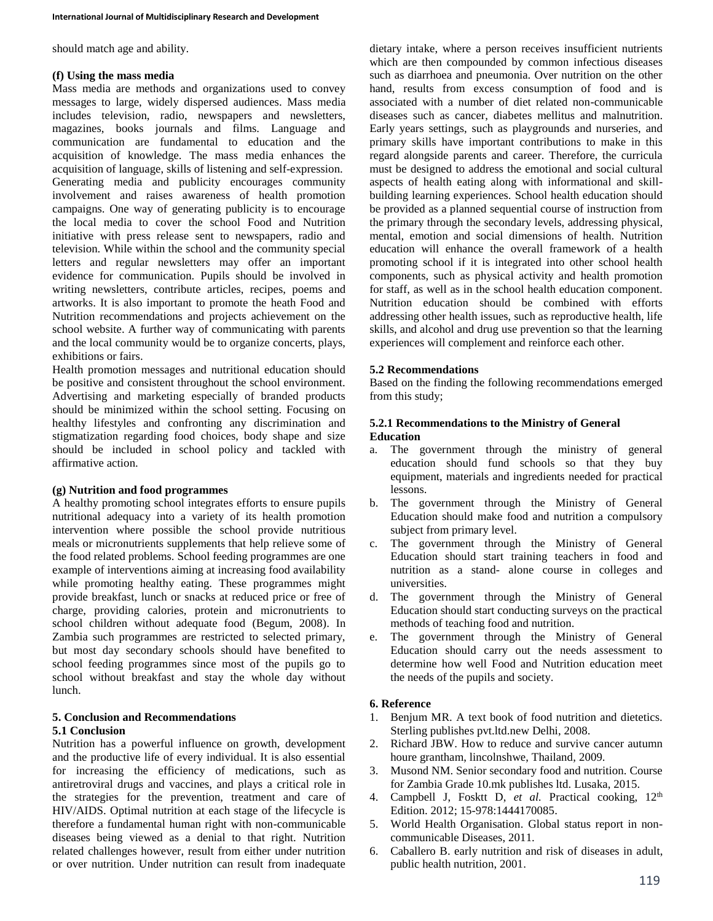should match age and ability.

### **(f) Using the mass media**

Mass media are methods and organizations used to convey messages to large, widely dispersed audiences. Mass media includes television, radio, newspapers and newsletters, magazines, books journals and films. Language and communication are fundamental to education and the acquisition of knowledge. The mass media enhances the acquisition of language, skills of listening and self-expression. Generating media and publicity encourages community involvement and raises awareness of health promotion campaigns. One way of generating publicity is to encourage the local media to cover the school Food and Nutrition initiative with press release sent to newspapers, radio and television. While within the school and the community special letters and regular newsletters may offer an important evidence for communication. Pupils should be involved in writing newsletters, contribute articles, recipes, poems and artworks. It is also important to promote the heath Food and Nutrition recommendations and projects achievement on the school website. A further way of communicating with parents and the local community would be to organize concerts, plays, exhibitions or fairs.

Health promotion messages and nutritional education should be positive and consistent throughout the school environment. Advertising and marketing especially of branded products should be minimized within the school setting. Focusing on healthy lifestyles and confronting any discrimination and stigmatization regarding food choices, body shape and size should be included in school policy and tackled with affirmative action.

### **(g) Nutrition and food programmes**

A healthy promoting school integrates efforts to ensure pupils nutritional adequacy into a variety of its health promotion intervention where possible the school provide nutritious meals or micronutrients supplements that help relieve some of the food related problems. School feeding programmes are one example of interventions aiming at increasing food availability while promoting healthy eating. These programmes might provide breakfast, lunch or snacks at reduced price or free of charge, providing calories, protein and micronutrients to school children without adequate food (Begum, 2008). In Zambia such programmes are restricted to selected primary, but most day secondary schools should have benefited to school feeding programmes since most of the pupils go to school without breakfast and stay the whole day without lunch.

### **5. Conclusion and Recommendations 5.1 Conclusion**

Nutrition has a powerful influence on growth, development and the productive life of every individual. It is also essential for increasing the efficiency of medications, such as antiretroviral drugs and vaccines, and plays a critical role in the strategies for the prevention, treatment and care of HIV/AIDS. Optimal nutrition at each stage of the lifecycle is therefore a fundamental human right with non-communicable diseases being viewed as a denial to that right. Nutrition related challenges however, result from either under nutrition or over nutrition. Under nutrition can result from inadequate

dietary intake, where a person receives insufficient nutrients which are then compounded by common infectious diseases such as diarrhoea and pneumonia. Over nutrition on the other hand, results from excess consumption of food and is associated with a number of diet related non-communicable diseases such as cancer, diabetes mellitus and malnutrition. Early years settings, such as playgrounds and nurseries, and primary skills have important contributions to make in this regard alongside parents and career. Therefore, the curricula must be designed to address the emotional and social cultural aspects of health eating along with informational and skillbuilding learning experiences. School health education should be provided as a planned sequential course of instruction from the primary through the secondary levels, addressing physical, mental, emotion and social dimensions of health. Nutrition education will enhance the overall framework of a health promoting school if it is integrated into other school health components, such as physical activity and health promotion for staff, as well as in the school health education component. Nutrition education should be combined with efforts addressing other health issues, such as reproductive health, life skills, and alcohol and drug use prevention so that the learning experiences will complement and reinforce each other.

### **5.2 Recommendations**

Based on the finding the following recommendations emerged from this study;

### **5.2.1 Recommendations to the Ministry of General Education**

- a. The government through the ministry of general education should fund schools so that they buy equipment, materials and ingredients needed for practical lessons.
- b. The government through the Ministry of General Education should make food and nutrition a compulsory subject from primary level.
- c. The government through the Ministry of General Education should start training teachers in food and nutrition as a stand- alone course in colleges and universities.
- d. The government through the Ministry of General Education should start conducting surveys on the practical methods of teaching food and nutrition.
- e. The government through the Ministry of General Education should carry out the needs assessment to determine how well Food and Nutrition education meet the needs of the pupils and society.

### **6. Reference**

- 1. Benjum MR. A text book of food nutrition and dietetics. Sterling publishes pvt.ltd.new Delhi, 2008.
- 2. Richard JBW. How to reduce and survive cancer autumn houre grantham, lincolnshwe, Thailand, 2009.
- 3. Musond NM. Senior secondary food and nutrition. Course for Zambia Grade 10.mk publishes ltd. Lusaka, 2015.
- 4. Campbell J, Fosktt D, *et al.* Practical cooking, 12th Edition. 2012; 15-978:1444170085.
- 5. World Health Organisation. Global status report in noncommunicable Diseases, 2011.
- 6. Caballero B. early nutrition and risk of diseases in adult, public health nutrition, 2001.